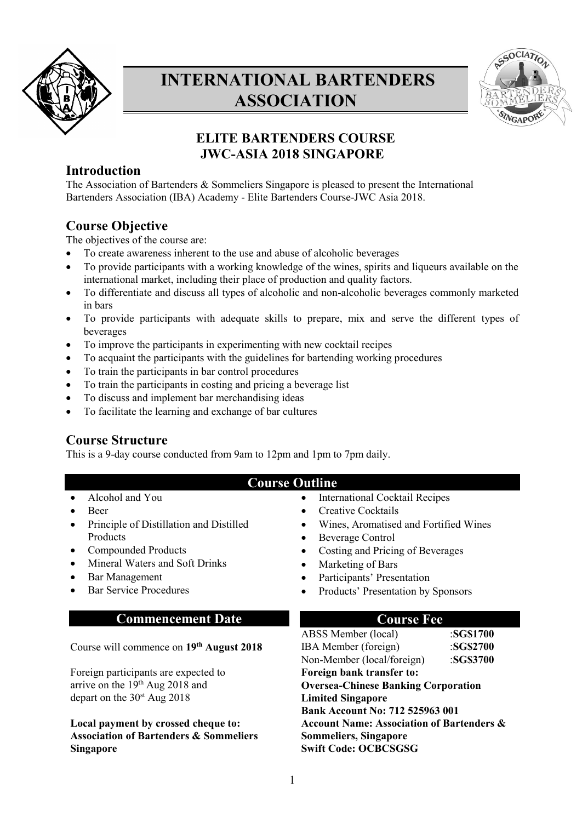

# **INTERNATIONAL BARTENDERS ASSOCIATION**



# **ELITE BARTENDERS COURSE JWC-ASIA 2018 SINGAPORE**

# **Introduction**

The Association of Bartenders & Sommeliers Singapore is pleased to present the International Bartenders Association (IBA) Academy - Elite Bartenders Course-JWC Asia 2018.

# **Course Objective**

The objectives of the course are:

- To create awareness inherent to the use and abuse of alcoholic beverages
- To provide participants with a working knowledge of the wines, spirits and liqueurs available on the international market, including their place of production and quality factors.
- To differentiate and discuss all types of alcoholic and non-alcoholic beverages commonly marketed in bars
- To provide participants with adequate skills to prepare, mix and serve the different types of beverages
- To improve the participants in experimenting with new cocktail recipes
- To acquaint the participants with the guidelines for bartending working procedures
- To train the participants in bar control procedures
- To train the participants in costing and pricing a beverage list
- To discuss and implement bar merchandising ideas
- To facilitate the learning and exchange of bar cultures

# **Course Structure**

This is a 9-day course conducted from 9am to 12pm and 1pm to 7pm daily.

# **Course Outline**

- Alcohol and You
- Beer
- Principle of Distillation and Distilled Products
- Compounded Products
- Mineral Waters and Soft Drinks
- Bar Management
- Bar Service Procedures

# **Commencement Date**

Course will commence on **19th August 2018**

Foreign participants are expected to arrive on the  $19<sup>th</sup>$  Aug 2018 and depart on the 30<sup>st</sup> Aug 2018

**Local payment by crossed cheque to: Association of Bartenders & Sommeliers Singapore**

- International Cocktail Recipes
- **Creative Cocktails**
- Wines, Aromatised and Fortified Wines
- Beverage Control
- Costing and Pricing of Beverages
- Marketing of Bars
- Participants' Presentation
- Products' Presentation by Sponsors

# **Course Fee**

ABSS Member (local) :**SG\$1700** IBA Member (foreign) :**SG\$2700** Non-Member (local/foreign) :**SG\$3700 Foreign bank transfer to: Oversea-Chinese Banking Corporation Limited Singapore Bank Account No: 712 525963 001 Account Name: Association of Bartenders & Sommeliers, Singapore Swift Code: OCBCSGSG**